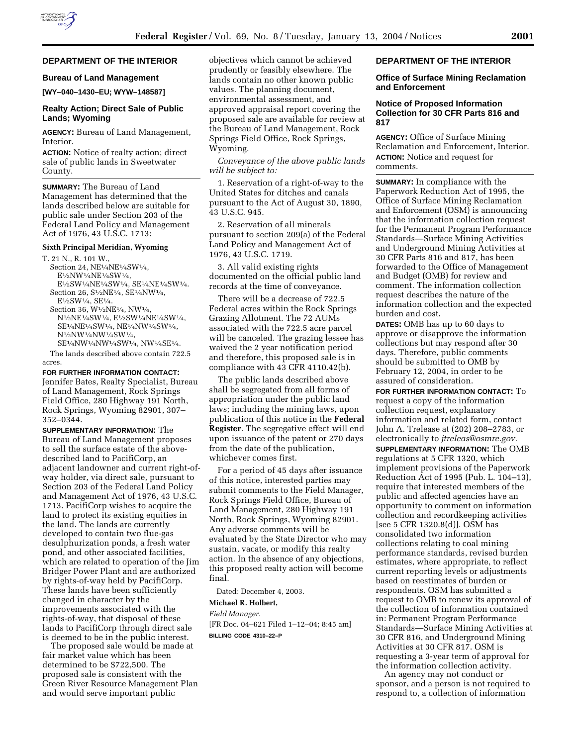# **DEPARTMENT OF THE INTERIOR**

# **Bureau of Land Management**

**[WY–040–1430–EU; WYW–148587]**

### **Realty Action; Direct Sale of Public Lands; Wyoming**

**AGENCY:** Bureau of Land Management, Interior.

**ACTION:** Notice of realty action; direct sale of public lands in Sweetwater County.

**SUMMARY:** The Bureau of Land Management has determined that the lands described below are suitable for public sale under Section 203 of the Federal Land Policy and Management Act of 1976, 43 U.S.C. 1713:

#### **Sixth Principal Meridian, Wyoming**

T. 21 N., R. 101 W., Section 24,  $\rm NE^{1}\!/_{\!4}NE^{1}\!/_{\!4}SW^{1}\!/_{\!4},$ E1⁄2NW1⁄4NE1⁄4SW1⁄4, E1⁄2SW1⁄4NE1⁄4SW1⁄4, SE1⁄4NE1⁄4SW1⁄4.

- Section 26, S1⁄2NE1⁄4, SE1⁄4NW1⁄4, E1⁄2SW1⁄4, SE1⁄4. Section 36, W1⁄2NE1⁄4, NW1⁄4,
- N1⁄2NE1⁄4SW1⁄4, E1⁄2SW1⁄4NE1⁄4SW1⁄4, SE1⁄4NE1⁄4SW1⁄4, NE1⁄4NW1⁄4SW1⁄4, N1⁄2NW1⁄4NW1⁄4SW1⁄4, SE1⁄4NW1⁄4NW1⁄4SW1⁄4, NW1⁄4SE1⁄4.

The lands described above contain 722.5 acres.

**FOR FURTHER INFORMATION CONTACT:** Jennifer Bates, Realty Specialist, Bureau of Land Management, Rock Springs Field Office, 280 Highway 191 North, Rock Springs, Wyoming 82901, 307– 352–0344.

**SUPPLEMENTARY INFORMATION:** The Bureau of Land Management proposes to sell the surface estate of the abovedescribed land to PacifiCorp, an adjacent landowner and current right-ofway holder, via direct sale, pursuant to Section 203 of the Federal Land Policy and Management Act of 1976, 43 U.S.C. 1713. PacifiCorp wishes to acquire the land to protect its existing equities in the land. The lands are currently developed to contain two flue-gas desulphurization ponds, a fresh water pond, and other associated facilities, which are related to operation of the Jim Bridger Power Plant and are authorized by rights-of-way held by PacifiCorp. These lands have been sufficiently changed in character by the improvements associated with the rights-of-way, that disposal of these lands to PacifiCorp through direct sale is deemed to be in the public interest.

The proposed sale would be made at fair market value which has been determined to be \$722,500. The proposed sale is consistent with the Green River Resource Management Plan and would serve important public

objectives which cannot be achieved prudently or feasibly elsewhere. The lands contain no other known public values. The planning document, environmental assessment, and approved appraisal report covering the proposed sale are available for review at the Bureau of Land Management, Rock Springs Field Office, Rock Springs, Wyoming.

*Conveyance of the above public lands will be subject to:*

1. Reservation of a right-of-way to the United States for ditches and canals pursuant to the Act of August 30, 1890, 43 U.S.C. 945.

2. Reservation of all minerals pursuant to section 209(a) of the Federal Land Policy and Management Act of 1976, 43 U.S.C. 1719.

3. All valid existing rights documented on the official public land records at the time of conveyance.

There will be a decrease of 722.5 Federal acres within the Rock Springs Grazing Allotment. The 72 AUMs associated with the 722.5 acre parcel will be canceled. The grazing lessee has waived the 2 year notification period and therefore, this proposed sale is in compliance with 43 CFR 4110.42(b).

The public lands described above shall be segregated from all forms of appropriation under the public land laws; including the mining laws, upon publication of this notice in the **Federal Register**. The segregative effect will end upon issuance of the patent or 270 days from the date of the publication, whichever comes first.

For a period of 45 days after issuance of this notice, interested parties may submit comments to the Field Manager, Rock Springs Field Office, Bureau of Land Management, 280 Highway 191 North, Rock Springs, Wyoming 82901. Any adverse comments will be evaluated by the State Director who may sustain, vacate, or modify this realty action. In the absence of any objections, this proposed realty action will become final.

Dated: December 4, 2003.

### **Michael R. Holbert,**

*Field Manager.*

[FR Doc. 04–621 Filed 1–12–04; 8:45 am]

**BILLING CODE 4310–22–P**

### **DEPARTMENT OF THE INTERIOR**

# **Office of Surface Mining Reclamation and Enforcement**

## **Notice of Proposed Information Collection for 30 CFR Parts 816 and 817**

**AGENCY:** Office of Surface Mining Reclamation and Enforcement, Interior. **ACTION:** Notice and request for comments.

**SUMMARY:** In compliance with the Paperwork Reduction Act of 1995, the Office of Surface Mining Reclamation and Enforcement (OSM) is announcing that the information collection request for the Permanent Program Performance Standards—Surface Mining Activities and Underground Mining Activities at 30 CFR Parts 816 and 817, has been forwarded to the Office of Management and Budget (OMB) for review and comment. The information collection request describes the nature of the information collection and the expected burden and cost.

**DATES:** OMB has up to 60 days to approve or disapprove the information collections but may respond after 30 days. Therefore, public comments should be submitted to OMB by February 12, 2004, in order to be assured of consideration.

**FOR FURTHER INFORMATION CONTACT:** To request a copy of the information collection request, explanatory information and related form, contact John A. Trelease at (202) 208–2783, or electronically to *jtreleas@osmre.gov.*

**SUPPLEMENTARY INFORMATION:** The OMB regulations at 5 CFR 1320, which implement provisions of the Paperwork Reduction Act of 1995 (Pub. L. 104–13), require that interested members of the public and affected agencies have an opportunity to comment on information collection and recordkeeping activities [see 5 CFR 1320.8(d)]. OSM has consolidated two information collections relating to coal mining performance standards, revised burden estimates, where appropriate, to reflect current reporting levels or adjustments based on reestimates of burden or respondents. OSM has submitted a request to OMB to renew its approval of the collection of information contained in: Permanent Program Performance Standards—Surface Mining Activities at 30 CFR 816, and Underground Mining Activities at 30 CFR 817. OSM is requesting a 3-year term of approval for the information collection activity.

An agency may not conduct or sponsor, and a person is not required to respond to, a collection of information